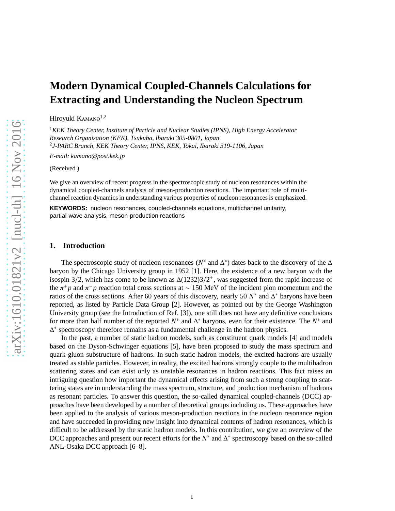# **Modern Dynamical Coupled-Channels Calculations for Extracting and Understanding the Nucleon Spectrum**

Hiroyuki KAMANO<sup>1,2</sup>

<sup>1</sup>*KEK Theory Center, Institute of Particle and Nuclear Studies (IPNS), High Energy Accelerator Research Organization (KEK), Tsukuba, Ibaraki 305-0801, Japan* 2 *J-PARC Branch, KEK Theory Center, IPNS, KEK, Tokai, Ibaraki 319-1106, Japan*

*E-mail: kamano@post.kek.jp*

(Received )

We give an overview of recent progress in the spectroscopic study of nucleon resonances within the dynamical coupled-channels analysis of meson-production reactions. The important role of multichannel reaction dynamics in understanding various properties of nucleon resonances is emphasized.

**KEYWORDS:** nucleon resonances, coupled-channels equations, multichannel unitarity, partial-wave analysis, meson-production reactions

## **1. Introduction**

The spectroscopic study of nucleon resonances ( $N^*$  and  $\Delta^*$ ) dates back to the discovery of the  $\Delta$ baryon by the Chicago University group in 1952 [1]. Here, the existence of a new baryon with the isospin 3/2, which has come to be known as  $\Delta(1232)3/2^+$ , was suggested from the rapid increase of the  $\pi^+ p$  and  $\pi^- p$  reaction total cross sections at ~ 150 MeV of the incident pion momentum and the ratios of the cross sections. After 60 years of this discovery, nearly 50  $N^*$  and  $\Delta^*$  baryons have been reported, as listed by Particle Data Group [2]. However, as pointed out by the George Washington University group (see the Introduction of Ref. [3]), one still does not have any definitive conclusions for more than half number of the reported *N*<sup>\*</sup> and ∆<sup>\*</sup> baryons, even for their existence. The *N*<sup>\*</sup> and ∆ ∗ spectroscopy therefore remains as a fundamental challenge in the hadron physics.

In the past, a number of static hadron models, such as constituent quark models [4] and models based on the Dyson-Schwinger equations [5], have been proposed to study the mass spectrum and quark-gluon substructure of hadrons. In such static hadron models, the excited hadrons are usually treated as stable particles. However, in reality, the excited hadrons strongly couple to the multihadron scattering states and can exist only as unstable resonances in hadron reactions. This fact raises an intriguing question how important the dynamical effects arising from such a strong coupling to scattering states are in understanding the mass spectrum, structure, and production mechanism of hadrons as resonant particles. To answer this question, the so-called dynamical coupled-channels (DCC) approaches have been developed by a number of theoretical groups including us. These approaches have been applied to the analysis of various meson-production reactions in the nucleon resonance region and have succeeded in providing new insight into dynamical contents of hadron resonances, which is difficult to be addressed by the static hadron models. In this contribution, we give an overview of the DCC approaches and present our recent efforts for the *N*<sup>\*</sup> and ∆<sup>\*</sup> spectroscopy based on the so-called ANL-Osaka DCC approach [6–8].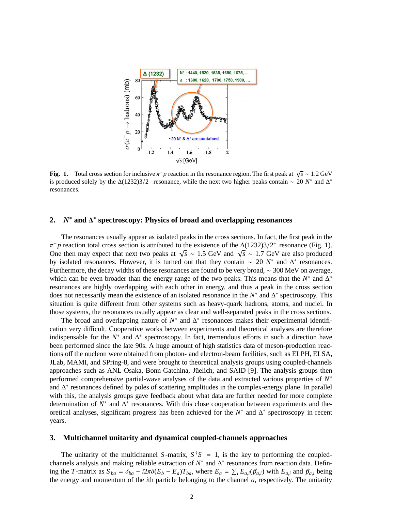

**Fig. 1.** Total cross section for inclusive  $\pi^- p$  reaction in the resonance region. The first peak at  $\sqrt{s} \sim 1.2 \text{ GeV}$ is produced solely by the  $\Delta(1232)3/2^+$  resonance, while the next two higher peaks contain ~ 20 *N*<sup>\*</sup> and  $\Delta^*$ resonances.

# **2.** *N* <sup>∗</sup> **and** ∆ ∗ **spectroscopy: Physics of broad and overlapping resonances**

The resonances usually appear as isolated peaks in the cross sections. In fact, the first peak in the  $\pi^- p$  reaction total cross section is attributed to the existence of the  $\Delta(1232)3/2^+$  resonance (Fig. 1). One then may expect that next two peaks at  $\sqrt{s} \sim 1.5$  GeV and  $\sqrt{s} \sim 1.7$  GeV are also produced by isolated resonances. However, it is turned out that they contain ∼ 20 *N*<sup>\*</sup> and ∆<sup>\*</sup> resonances. Furthermore, the decay widths of these resonances are found to be very broad, ∼ 300 MeV on average, which can be even broader than the energy range of the two peaks. This means that the  $N^*$  and  $\Delta^*$ resonances are highly overlapping with each other in energy, and thus a peak in the cross section does not necessarily mean the existence of an isolated resonance in the *N*<sup>\*</sup> and ∆<sup>\*</sup> spectroscopy. This situation is quite different from other systems such as heavy-quark hadrons, atoms, and nuclei. In those systems, the resonances usually appear as clear and well-separated peaks in the cross sections.

The broad and overlapping nature of  $N^*$  and  $\Delta^*$  resonances makes their experimental identification very difficult. Cooperative works between experiments and theoretical analyses are therefore indispensable for the  $N^*$  and  $\Delta^*$  spectroscopy. In fact, tremendous efforts in such a direction have been performed since the late 90s. A huge amount of high statistics data of meson-production reactions off the nucleon were obtained from photon- and electron-beam facilities, such as ELPH, ELSA, JLab, MAMI, and SPring-8, and were brought to theoretical analysis groups using coupled-channels approaches such as ANL-Osaka, Bonn-Gatchina, Jüelich, and SAID [9]. The analysis groups then performed comprehensive partial-wave analyses of the data and extracted various properties of  $N^*$ and ∆ ∗ resonances defined by poles of scattering amplitudes in the complex-energy plane. In parallel with this, the analysis groups gave feedback about what data are further needed for more complete determination of *N*<sup>\*</sup> and ∆<sup>\*</sup> resonances. With this close cooperation between experiments and theoretical analyses, significant progress has been achieved for the  $N^*$  and  $\Delta^*$  spectroscopy in recent years.

#### **3. Multichannel unitarity and dynamical coupled-channels approaches**

The unitarity of the multichannel *S*-matrix,  $S^{\dagger}S = 1$ , is the key to performing the coupledchannels analysis and making reliable extraction of  $N^*$  and  $\Delta^*$  resonances from reaction data. Defining the T-matrix as  $S_{ba} = \delta_{ba} - i2\pi\delta(E_b - E_a)T_{ba}$ , where  $E_a = \sum_i E_{a,i}(\vec{p}_{a,i})$  with  $E_{a,i}$  and  $\vec{p}_{a,i}$  being the energy and momentum of the *i*th particle belonging to the channel *a*, respectively. The unitarity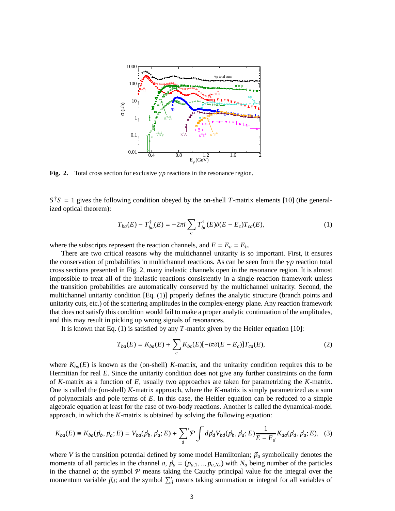

**Fig. 2.** Total cross section for exclusive γ*p* reactions in the resonance region.

 $S^{\dagger}S = 1$  gives the following condition obeyed by the on-shell *T*-matrix elements [10] (the generalized optical theorem):

$$
T_{ba}(E) - T_{ba}^{\dagger}(E) = -2\pi i \sum_{c} T_{bc}^{\dagger}(E) \delta(E - E_{c}) T_{ca}(E), \qquad (1)
$$

where the subscripts represent the reaction channels, and  $E = E_a = E_b$ .

There are two critical reasons why the multichannel unitarity is so important. First, it ensures the conservation of probabilities in multichannel reactions. As can be seen from the  $\gamma p$  reaction total cross sections presented in Fig. 2, many inelastic channels open in the resonance region. It is almost impossible to treat all of the inelastic reactions consistently in a single reaction framework unless the transition probabilities are automatically conserved by the multichannel unitarity. Second, the multichannel unitarity condition [Eq. (1)] properly defines the analytic structure (branch points and unitarity cuts, etc.) of the scattering amplitudes in the complex-energy plane. Any reaction framework that does not satisfy this condition would fail to make a proper analytic continuation of the amplitudes, and this may result in picking up wrong signals of resonances.

It is known that Eq. (1) is satisfied by any *T*-matrix given by the Heitler equation [10]:

$$
T_{ba}(E) = K_{ba}(E) + \sum_{c} K_{bc}(E) [-i\pi \delta(E - E_c)] T_{ca}(E), \qquad (2)
$$

where  $K_{ba}(E)$  is known as the (on-shell) *K*-matrix, and the unitarity condition requires this to be Hermitian for real *E*. Since the unitarity condition does not give any further constraints on the form of *K*-matrix as a function of *E*, usually two approaches are taken for parametrizing the *K*-matrix. One is called the (on-shell) *K*-matrix approach, where the *K*-matrix is simply parametrized as a sum of polynomials and pole terms of *E*. In this case, the Heitler equation can be reduced to a simple algebraic equation at least for the case of two-body reactions. Another is called the dynamical-model approach, in which the *K*-matrix is obtained by solving the following equation:

$$
K_{ba}(E) \equiv K_{ba}(\vec{p}_b, \vec{p}_a; E) = V_{ba}(\vec{p}_b, \vec{p}_a; E) + \sum_{d} ' \mathcal{P} \int d\vec{p}_d V_{bd}(\vec{p}_b, \vec{p}_d; E) \frac{1}{E - E_d} K_{da}(\vec{p}_d, \vec{p}_a; E), \quad (3)
$$

where *V* is the transition potential defined by some model Hamiltonian;  $\vec{p}_a$  symbolically denotes the momenta of all particles in the channel *a*,  $\vec{p}_a = (p_{a,1}, ..., p_{a,N_a})$  with  $N_a$  being number of the particles in the channel  $a$ ; the symbol  $P$  means taking the Cauchy principal value for the integral over the momentum variable  $\vec{p}_d$ ; and the symbol  $\sum_d$  means taking summation or integral for all variables of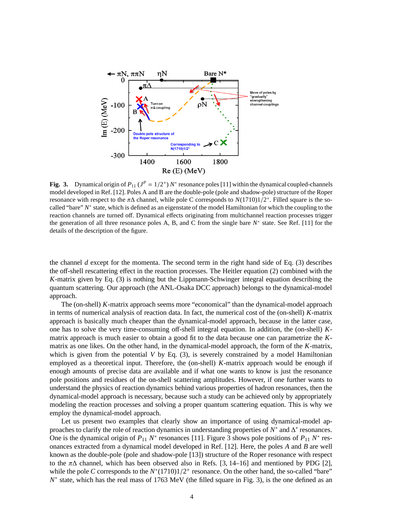

Fig. 3. Dynamical origin of  $P_{11}$  ( $J^P = 1/2^+$ )  $N^*$  resonance poles [11] within the dynamical coupled-channels model developed in Ref. [12]. Poles A and B are the double-pole (pole and shadow-pole) structure of the Roper resonance with respect to the  $\pi\Delta$  channel, while pole C corresponds to  $N(1710)1/2^+$ . Filled square is the socalled "bare"  $N^*$  state, which is defined as an eigenstate of the model Hamiltonian for which the coupling to the reaction channels are turned off. Dynamical effects originating from multichannel reaction processes trigger the generation of all three resonance poles A, B, and C from the single bare  $N^*$  state. See Ref. [11] for the details of the description of the figure.

the channel *d* except for the momenta. The second term in the right hand side of Eq. (3) describes the off-shell rescattering effect in the reaction processes. The Heitler equation (2) combined with the *K*-matrix given by Eq. (3) is nothing but the Lippmann-Schwinger integral equation describing the quantum scattering. Our approach (the ANL-Osaka DCC approach) belongs to the dynamical-model approach.

The (on-shell) *K*-matrix approach seems more "economical" than the dynamical-model approach in terms of numerical analysis of reaction data. In fact, the numerical cost of the (on-shell) *K*-matrix approach is basically much cheaper than the dynamical-model approach, because in the latter case, one has to solve the very time-consuming off-shell integral equation. In addition, the (on-shell) *K*matrix approach is much easier to obtain a good fit to the data because one can parametrize the *K*matrix as one likes. On the other hand, in the dynamical-model approach, the form of the *K*-matrix, which is given from the potential *V* by Eq. (3), is severely constrained by a model Hamiltonian employed as a theoretical input. Therefore, the (on-shell) *K*-matrix approach would be enough if enough amounts of precise data are available and if what one wants to know is just the resonance pole positions and residues of the on-shell scattering amplitudes. However, if one further wants to understand the physics of reaction dynamics behind various properties of hadron resonances, then the dynamical-model approach is necessary, because such a study can be achieved only by appropriately modeling the reaction processes and solving a proper quantum scattering equation. This is why we employ the dynamical-model approach.

Let us present two examples that clearly show an importance of using dynamical-model approaches to clarify the role of reaction dynamics in understanding properties of  $N^*$  and  $\Delta^*$  resonances. One is the dynamical origin of  $P_{11} N^*$  resonances [11]. Figure 3 shows pole positions of  $P_{11} N^*$  resonances extracted from a dynamical model developed in Ref. [12]. Here, the poles *A* and *B* are well known as the double-pole (pole and shadow-pole [13]) structure of the Roper resonance with respect to the  $\pi\Delta$  channel, which has been observed also in Refs. [3, 14–16] and mentioned by PDG [2], while the pole *C* corresponds to the  $N^*(1710)1/2^+$  resonance. On the other hand, the so-called "bare" *N*<sup>∗</sup> state, which has the real mass of 1763 MeV (the filled square in Fig. 3), is the one defined as an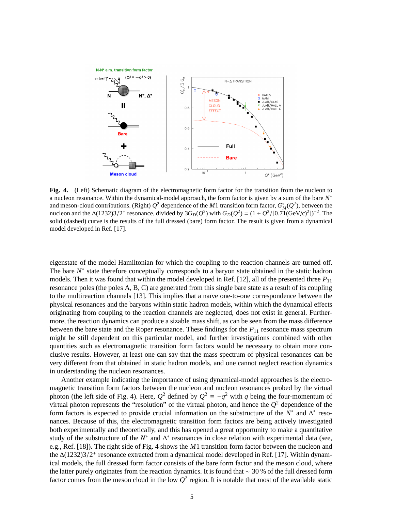

**Fig. 4.** (Left) Schematic diagram of the electromagnetic form factor for the transition from the nucleon to a nucleon resonance. Within the dynamical-model approach, the form factor is given by a sum of the bare *N* ∗ and meson-cloud contributions. (Right)  $Q^2$  dependence of the *M*1 transition form factor,  $G_M^*(Q^2)$ , between the nucleon and the  $\Delta(1232)3/2^+$  resonance, divided by  $3G_D(Q^2)$  with  $G_D(Q^2) = (1 + Q^2/[0.71(\text{GeV/c})^2])^{-2}$ . The solid (dashed) curve is the results of the full dressed (bare) form factor. The result is given from a dynamical model developed in Ref. [17].

eigenstate of the model Hamiltonian for which the coupling to the reaction channels are turned off. The bare *N*<sup>∗</sup> state therefore conceptually corresponds to a baryon state obtained in the static hadron models. Then it was found that within the model developed in Ref. [12], all of the presented three  $P_{11}$ resonance poles (the poles A, B, C) are generated from this single bare state as a result of its coupling to the multireaction channels [13]. This implies that a na¨ıve one-to-one correspondence between the physical resonances and the baryons within static hadron models, within which the dynamical effects originating from coupling to the reaction channels are neglected, does not exist in general. Furthermore, the reaction dynamics can produce a sizable mass shift, as can be seen from the mass difference between the bare state and the Roper resonance. These findings for the  $P_{11}$  resonance mass spectrum might be still dependent on this particular model, and further investigations combined with other quantities such as electromagnetic transition form factors would be necessary to obtain more conclusive results. However, at least one can say that the mass spectrum of physical resonances can be very different from that obtained in static hadron models, and one cannot neglect reaction dynamics in understanding the nucleon resonances.

Another example indicating the importance of using dynamical-model approaches is the electromagnetic transition form factors between the nucleon and nucleon resonances probed by the virtual photon (the left side of Fig. 4). Here,  $Q^2$  defined by  $Q^2 \equiv -q^2$  with *q* being the four-momentum of virtual photon represents the "resolution" of the virtual photon, and hence the  $Q^2$  dependence of the form factors is expected to provide crucial information on the substructure of the  $N^*$  and  $\Delta^*$  resonances. Because of this, the electromagnetic transition form factors are being actively investigated both experimentally and theoretically, and this has opened a great opportunity to make a quantitative study of the substructure of the  $N^*$  and  $\Delta^*$  resonances in close relation with experimental data (see, e.g., Ref. [18]). The right side of Fig. 4 shows the *M*1 transition form factor between the nucleon and the ∆(1232)3/2<sup>+</sup> resonance extracted from a dynamical model developed in Ref. [17]. Within dynamical models, the full dressed form factor consists of the bare form factor and the meson cloud, where the latter purely originates from the reaction dynamics. It is found that ∼ 30 % of the full dressed form factor comes from the meson cloud in the low  $Q^2$  region. It is notable that most of the available static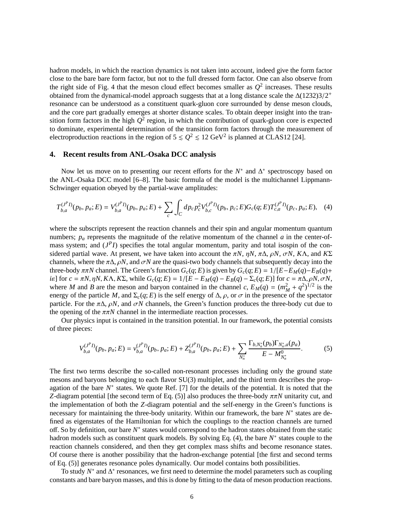hadron models, in which the reaction dynamics is not taken into account, indeed give the form factor close to the bare bare form factor, but not to the full dressed form factor. One can also observe from the right side of Fig. 4 that the meson cloud effect becomes smaller as  $Q^2$  increases. These results obtained from the dynamical-model approach suggests that at a long distance scale the ∆(1232)3/2<sup>+</sup> resonance can be understood as a constituent quark-gluon core surrounded by dense meson clouds, and the core part gradually emerges at shorter distance scales. To obtain deeper insight into the transition form factors in the high  $Q^2$  region, in which the contribution of quark-gluon core is expected to dominate, experimental determination of the transition form factors through the measurement of electroproduction reactions in the region of  $5 \le Q^2 \le 12 \text{ GeV}^2$  is planned at CLAS12 [24].

### **4. Recent results from ANL-Osaka DCC analysis**

Now let us move on to presenting our recent efforts for the  $N^*$  and  $\Delta^*$  spectroscopy based on the ANL-Osaka DCC model [6–8]. The basic formula of the model is the multichannel Lippmann-Schwinger equation obeyed by the partial-wave amplitudes:

$$
T_{b,a}^{(J^P I)}(p_b, p_a; E) = V_{b,a}^{(J^P I)}(p_b, p_a; E) + \sum_c \int_C dp_c p_c^2 V_{b,c}^{(J^P I)}(p_b, p_c; E) G_c(q; E) T_{c,a}^{(J^P I)}(p_c, p_a; E), \quad (4)
$$

where the subscripts represent the reaction channels and their spin and angular momentum quantum numbers;  $p_a$  represents the magnitude of the relative momentum of the channel  $a$  in the center-ofmass system; and  $(J<sup>P</sup>I)$  specifies the total angular momentum, parity and total isospin of the considered partial wave. At present, we have taken into account the  $\pi N$ ,  $\eta N$ ,  $\pi \Delta$ ,  $\rho N$ ,  $\sigma N$ ,  $K\Lambda$ , and  $K\Sigma$ channels, where the  $\pi\Delta$ ,  $\rho N$ , and  $\sigma N$  are the quasi-two body channels that subsequently decay into the three-body  $\pi \pi N$  channel. The Green's function  $G_c(q; E)$  is given by  $G_c(q; E) = 1/[E - E_M(q) - E_B(q) + E_M(q)]$ ie] for  $c = \pi N$ ,  $\eta N$ ,  $K\Lambda$ ,  $K\Sigma$ , while  $G_c(q; E) = 1/[E - E_M(q) - E_B(q) - \Sigma_c(q; E)]$  for  $c = \pi \Delta$ ,  $\rho N$ ,  $\sigma N$ , where *M* and *B* are the meson and baryon contained in the channel *c*,  $E_M(q) = (m_M^2 + q^2)^{1/2}$  is the energy of the particle *M*, and  $\Sigma_c(q; E)$  is the self energy of  $\Delta$ ,  $\rho$ , or  $\sigma$  in the presence of the spectator particle. For the  $\pi\Delta$ ,  $\rho N$ , and  $\sigma N$  channels, the Green's function produces the three-body cut due to the opening of the  $\pi \pi N$  channel in the intermediate reaction processes.

Our physics input is contained in the transition potential. In our framework, the potential consists of three pieces:

$$
V_{b,a}^{(J^P I)}(p_b, p_a; E) = v_{b,a}^{(J^P I)}(p_b, p_a; E) + Z_{b,a}^{(J^P I)}(p_b, p_a; E) + \sum_{N_n^*} \frac{\Gamma_{b,N_n^*}(p_b) \Gamma_{N_n^*a}(p_a)}{E - M_{N_n^*}^0}.
$$
 (5)

The first two terms describe the so-called non-resonant processes including only the ground state mesons and baryons belonging to each flavor SU(3) multiplet, and the third term describes the propagation of the bare  $N^*$  states. We quote Ref. [7] for the details of the potential. It is noted that the *Z*-diagram potential [the second term of Eq. (5)] also produces the three-body  $\pi \pi N$  unitarity cut, and the implementation of both the *Z*-diagram potential and the self-energy in the Green's functions is necessary for maintaining the three-body unitarity. Within our framework, the bare *N*<sup>∗</sup> states are defined as eigenstates of the Hamiltonian for which the couplings to the reaction channels are turned off. So by definition, our bare *N* ∗ states would correspond to the hadron states obtained from the static hadron models such as constituent quark models. By solving Eq. (4), the bare *N*<sup>∗</sup> states couple to the reaction channels considered, and then they get complex mass shifts and become resonance states. Of course there is another possibility that the hadron-exchange potential [the first and second terms of Eq. (5)] generates resonance poles dynamically. Our model contains both possibilities.

To study  $N^*$  and  $\Delta^*$  resonances, we first need to determine the model parameters such as coupling constants and bare baryon masses, and this is done by fitting to the data of meson production reactions.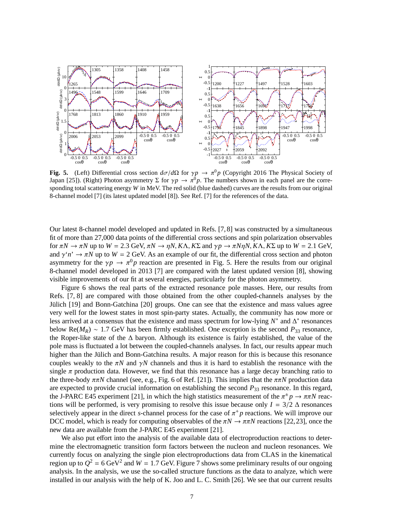

**Fig. 5.** (Left) Differential cross section  $d\sigma/d\Omega$  for  $\gamma p \to \pi^0 p$  (Copyright 2016 The Physical Society of Japan [25]). (Right) Photon asymmetry  $\Sigma$  for  $\gamma p \to \pi^0 p$ . The numbers shown in each panel are the corresponding total scattering energy *W* in MeV. The red solid (blue dashed) curves are the results from our original 8-channel model [7] (its latest updated model [8]). See Ref. [7] for the references of the data.

Our latest 8-channel model developed and updated in Refs. [7, 8] was constructed by a simultaneous fit of more than 27,000 data points of the differential cross sections and spin polarization observables for π*N* → π*N* up to *W* = 2.3 GeV, π*N* → η*N*, *K*Λ, *K*Σ and γ*p* → π*N*η*N*, *K*Λ, *K*Σ up to *W* = 2.1 GeV, and  $\gamma' n' \to \pi N$  up to  $W = 2$  GeV. As an example of our fit, the differential cross section and photon asymmetry for the  $\gamma p \to \pi^0 p$  reaction are presented in Fig. 5. Here the results from our original 8-channel model developed in 2013 [7] are compared with the latest updated version [8], showing visible improvements of our fit at several energies, particularly for the photon asymmetry.

Figure 6 shows the real parts of the extracted resonance pole masses. Here, our results from Refs. [7, 8] are compared with those obtained from the other coupled-channels analyses by the Jülich [19] and Bonn-Gatchina [20] groups. One can see that the existence and mass values agree very well for the lowest states in most spin-party states. Actually, the community has now more or less arrived at a consensus that the existence and mass spectrum for low-lying  $N^*$  and  $\Delta^*$  resonances below Re( $M_R$ ) ~ 1.7 GeV has been firmly established. One exception is the second  $P_{33}$  resonance, the Roper-like state of the ∆ baryon. Although its existence is fairly established, the value of the pole mass is fluctuated a lot between the coupled-channels analyses. In fact, our results appear much higher than the Jülich and Bonn-Gatchina results. A major reason for this is because this resonance couples weakly to the  $\pi N$  and  $\gamma N$  channels and thus it is hard to establish the resonance with the single  $\pi$  production data. However, we find that this resonance has a large decay branching ratio to the three-body ππ*N* channel (see, e.g., Fig. 6 of Ref. [21]). This implies that the ππ*N* production data are expected to provide crucial information on establishing the second *P*<sup>33</sup> resonance. In this regard, the J-PARC E45 experiment [21], in which the high statistics measurement of the  $\pi^{\pm}p \to \pi \pi N$  reactions will be performed, is very promising to resolve this issue because only  $I = 3/2 \Delta$  resonances selectively appear in the direct *s*-channel process for the case of  $\pi^+ p$  reactions. We will improve our DCC model, which is ready for computing observables of the  $\pi N \to \pi \pi N$  reactions [22,23], once the new data are available from the J-PARC E45 experiment [21].

We also put effort into the analysis of the available data of electroproduction reactions to determine the electromagnetic transition form factors between the nucleon and nucleon resonances. We currently focus on analyzing the single pion electroproductions data from CLAS in the kinematical region up to  $Q^2 = 6 \text{ GeV}^2$  and  $W = 1.7 \text{ GeV}$ . Figure 7 shows some preliminary results of our ongoing analysis. In the analysis, we use the so-called structure functions as the data to analyze, which were installed in our analysis with the help of K. Joo and L. C. Smith [26]. We see that our current results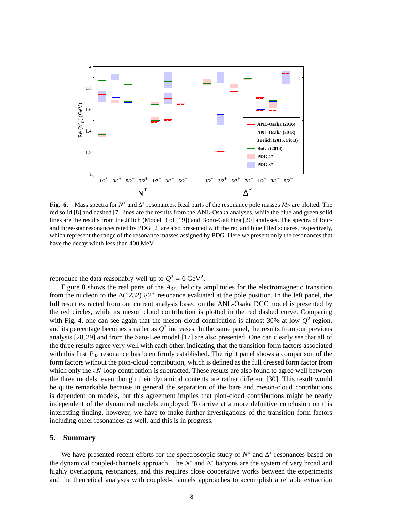

Fig. 6. Mass spectra for  $N^*$  and  $\Delta^*$  resonances. Real parts of the resonance pole masses  $M_R$  are plotted. The red solid [8] and dashed [7] lines are the results from the ANL-Osaka analyses, while the blue and green solid lines are the results from the Jülich (Model B of [19]) and Bonn-Gatchina [20] analyses. The spectra of fourand three-star resonances rated by PDG [2] are also presented with the red and blue filled squares, respectively, which represent the range of the resonance masses assigned by PDG. Here we present only the resonances that have the decay width less than 400 MeV.

reproduce the data reasonably well up to  $Q^2 = 6 \text{ GeV}^2$ .

Figure 8 shows the real parts of the *A*3/<sup>2</sup> helicity amplitudes for the electromagnetic transition from the nucleon to the  $\Delta(1232)3/2^+$  resonance evaluated at the pole position. In the left panel, the full result extracted from our current analysis based on the ANL-Osaka DCC model is presented by the red circles, while its meson cloud contribution is plotted in the red dashed curve. Comparing with Fig. 4, one can see again that the meson-cloud contribution is almost 30% at low  $Q^2$  region, and its percentage becomes smaller as  $Q^2$  increases. In the same panel, the results from our previous analysis [28, 29] and from the Sato-Lee model [17] are also presented. One can clearly see that all of the three results agree very well with each other, indicating that the transition form factors associated with this first  $P_{33}$  resonance has been firmly established. The right panel shows a comparison of the form factors without the pion-cloud contribution, which is defined as the full dressed form factor from which only the  $\pi N$ -loop contribution is subtracted. These results are also found to agree well between the three models, even though their dynamical contents are rather different [30]. This result would be quite remarkable because in general the separation of the bare and meson-cloud contributions is dependent on models, but this agreement implies that pion-cloud contributions might be nearly independent of the dynamical models employed. To arrive at a more definitive conclusion on this interesting finding, however, we have to make further investigations of the transition form factors including other resonances as well, and this is in progress.

#### **5. Summary**

We have presented recent efforts for the spectroscopic study of  $N^*$  and  $\Delta^*$  resonances based on the dynamical coupled-channels approach. The *N*<sup>\*</sup> and ∆<sup>\*</sup> baryons are the system of very broad and highly overlapping resonances, and this requires close cooperative works between the experiments and the theoretical analyses with coupled-channels approaches to accomplish a reliable extraction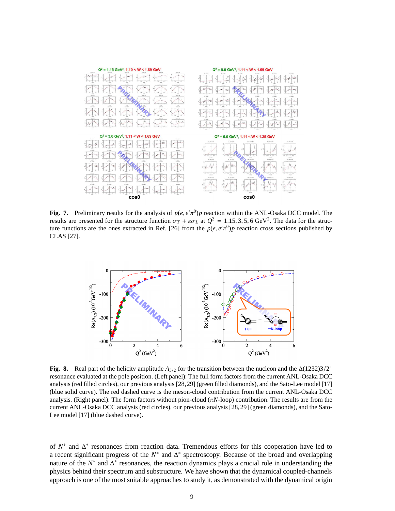

**Fig. 7.** Preliminary results for the analysis of  $p(e, e'\pi^0)p$  reaction within the ANL-Osaka DCC model. The results are presented for the structure function  $\sigma_T + \varepsilon \sigma_L$  at  $Q^2 = 1.15, 3, 5, 6$  GeV<sup>2</sup>. The data for the structure functions are the ones extracted in Ref. [26] from the  $p(e, e'\pi^0)p$  reaction cross sections published by CLAS [27].



**Fig. 8.** Real part of the helicity amplitude  $A_{3/2}$  for the transition between the nucleon and the  $\Delta(1232)3/2^+$ resonance evaluated at the pole position. (Left panel): The full form factors from the current ANL-Osaka DCC analysis (red filled circles), our previous analysis [28,29] (green filled diamonds), and the Sato-Lee model [17] (blue solid curve). The red dashed curve is the meson-cloud contribution from the current ANL-Osaka DCC analysis. (Right panel): The form factors without pion-cloud (π*N*-loop) contribution. The results are from the current ANL-Osaka DCC analysis (red circles), our previous analysis [28,29] (green diamonds), and the Sato-Lee model [17] (blue dashed curve).

of  $N^*$  and  $\Delta^*$  resonances from reaction data. Tremendous efforts for this cooperation have led to a recent significant progress of the *N*<sup>\*</sup> and ∆<sup>\*</sup> spectroscopy. Because of the broad and overlapping nature of the  $N^*$  and  $\Delta^*$  resonances, the reaction dynamics plays a crucial role in understanding the physics behind their spectrum and substructure. We have shown that the dynamical coupled-channels approach is one of the most suitable approaches to study it, as demonstrated with the dynamical origin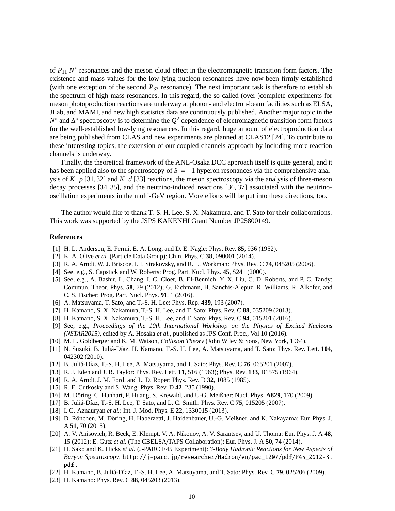of *P*<sub>11</sub> *N*<sup>∗</sup> resonances and the meson-cloud effect in the electromagnetic transition form factors. The existence and mass values for the low-lying nucleon resonances have now been firmly established (with one exception of the second  $P_{33}$  resonance). The next important task is therefore to establish the spectrum of high-mass resonances. In this regard, the so-called (over-)complete experiments for meson photoproduction reactions are underway at photon- and electron-beam facilities such as ELSA, JLab, and MAMI, and new high statistics data are continuously published. Another major topic in the *N*<sup>\*</sup> and ∆<sup>\*</sup> spectroscopy is to determine the  $Q^2$  dependence of electromagnetic transition form factors for the well-established low-lying resonances. In this regard, huge amount of electroproduction data are being published from CLAS and new experiments are planned at CLAS12 [24]. To contribute to these interesting topics, the extension of our coupled-channels approach by including more reaction channels is underway.

Finally, the theoretical framework of the ANL-Osaka DCC approach itself is quite general, and it has been applied also to the spectroscopy of *S* = −1 hyperon resonances via the comprehensive analysis of  $K^- p$  [31,32] and  $K^- d$  [33] reactions, the meson spectroscopy via the analysis of three-meson decay processes [34, 35], and the neutrino-induced reactions [36, 37] associated with the neutrinooscillation experiments in the multi-GeV region. More efforts will be put into these directions, too.

The author would like to thank T.-S. H. Lee, S. X. Nakamura, and T. Sato for their collaborations. This work was supported by the JSPS KAKENHI Grant Number JP25800149.

#### **References**

- [1] H. L. Anderson, E. Fermi, E. A. Long, and D. E. Nagle: Phys. Rev. **85**, 936 (1952).
- [2] K. A. Olive *et al.* (Particle Data Group): Chin. Phys. C **38**, 090001 (2014).
- [3] R. A. Arndt, W. J. Briscoe, I. I. Strakovsky, and R. L. Workman: Phys. Rev. C **74**, 045205 (2006).
- [4] See, e.g., S. Capstick and W. Roberts: Prog. Part. Nucl. Phys. **45**, S241 (2000).
- [5] See, e.g., A. Bashir, L. Chang, I. C. Cloet, B. El-Bennich, Y. X. Liu, C. D. Roberts, and P. C. Tandy: Commun. Theor. Phys. **58**, 79 (2012); G. Eichmann, H. Sanchis-Alepuz, R. Williams, R. Alkofer, and C. S. Fischer: Prog. Part. Nucl. Phys. **91**, 1 (2016).
- [6] A. Matsuyama, T. Sato, and T.-S. H. Lee: Phys. Rep. **439**, 193 (2007).
- [7] H. Kamano, S. X. Nakamura, T.-S. H. Lee, and T. Sato: Phys. Rev. C **88**, 035209 (2013).
- [8] H. Kamano, S. X. Nakamura, T.-S. H. Lee, and T. Sato: Phys. Rev. C **94**, 015201 (2016).
- [9] See, e.g., *Proceedings of the 10th International Workshop on the Physics of Excited Nucleons (NSTAR2015)*, edited by A. Hosaka *et al.*, published as JPS Conf. Proc., Vol 10 (2016).
- [10] M. L. Goldberger and K. M. Watson, *Collision Theory* (John Wiley & Sons, New York, 1964).
- [11] N. Suzuki, B. Juli´a-D´ıaz, H. Kamano, T.-S. H. Lee, A. Matsuyama, and T. Sato: Phys. Rev. Lett. **104**, 042302 (2010).
- [12] B. Juliá-Díaz, T.-S. H. Lee, A. Matsuyama, and T. Sato: Phys. Rev. C **76**, 065201 (2007).
- [13] R. J. Eden and J. R. Taylor: Phys. Rev. Lett. **11**, 516 (1963); Phys. Rev. **133**, B1575 (1964).
- [14] R. A. Arndt, J. M. Ford, and L. D. Roper: Phys. Rev. D **32**, 1085 (1985).
- [15] R. E. Cutkosky and S. Wang: Phys. Rev. D **42**, 235 (1990).
- [16] M. Döring, C. Hanhart, F. Huang, S. Krewald, and U-G. Meißner: Nucl. Phys. **A829**, 170 (2009).
- [17] B. Juliá-Díaz, T.-S. H. Lee, T. Sato, and L. C. Smith: Phys. Rev. C 75, 015205 (2007).
- [18] I. G. Aznauryan *et al.*: Int. J. Mod. Phys. E **22**, 1330015 (2013).
- [19] D. Rönchen, M. Döring, H. Haberzettl, J. Haidenbauer, U.-G. Meißner, and K. Nakayama: Eur. Phys. J. A **51**, 70 (2015).
- [20] A. V. Anisovich, R. Beck, E. Klempt, V. A. Nikonov, A. V. Sarantsev, and U. Thoma: Eur. Phys. J. A **48**, 15 (2012); E. Gutz *et al.* (The CBELSA/TAPS Collaboration): Eur. Phys. J. A **50**, 74 (2014).
- [21] H. Sako and K. Hicks *et al.* (J-PARC E45 Experiment): *3-Body Hadronic Reactions for New Aspects of Baryon Spectroscopy*, http://j-parc.jp/researcher/Hadron/en/pac\_1207/pdf/P45\_2012-3. pdf .
- [22] H. Kamano, B. Juliá-Díaz, T.-S. H. Lee, A. Matsuyama, and T. Sato: Phys. Rev. C 79, 025206 (2009).
- [23] H. Kamano: Phys. Rev. C **88**, 045203 (2013).